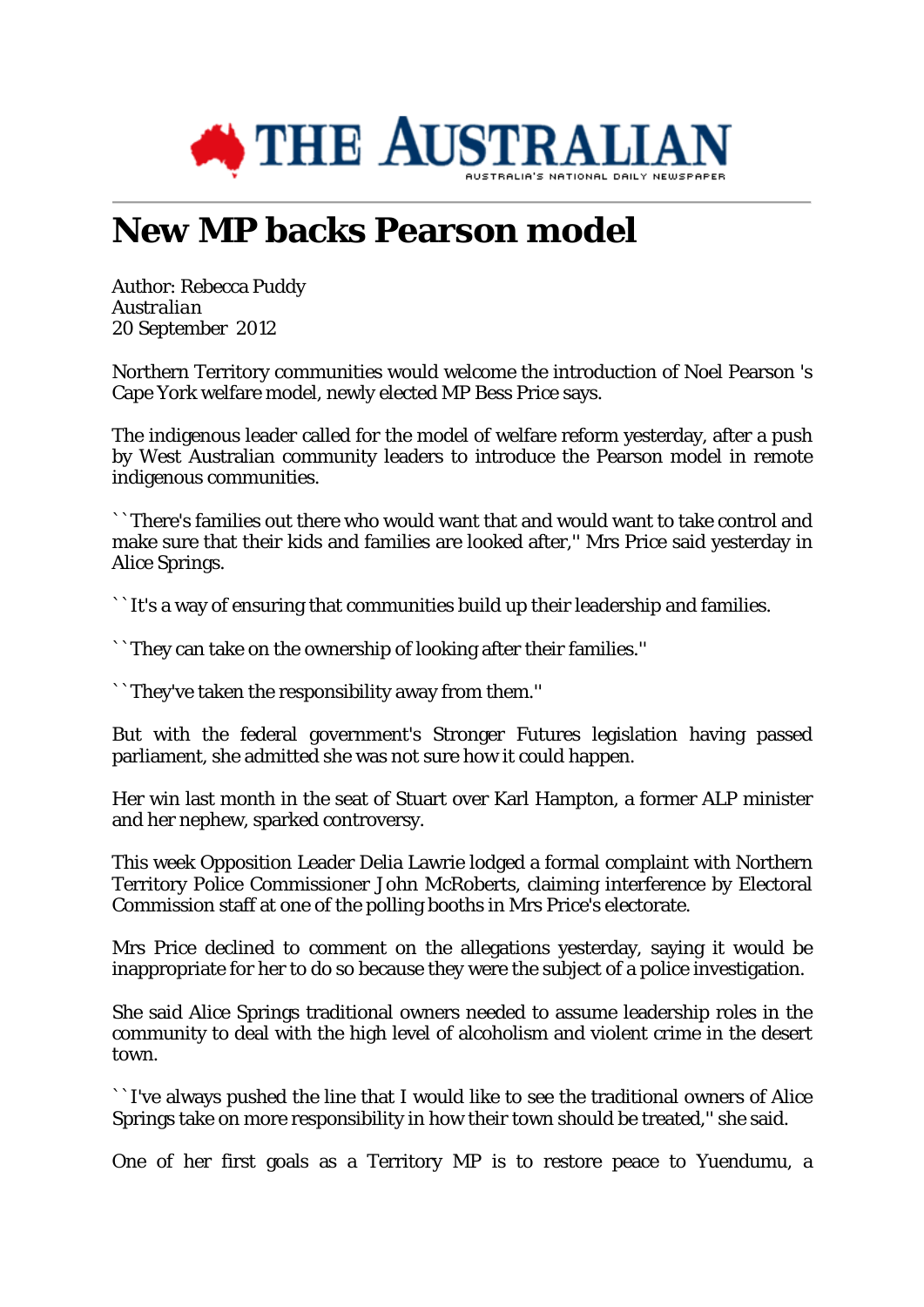

## **New MP backs Pearson model**

Author: Rebecca Puddy *Australian* 20 September 2012

Northern Territory communities would welcome the introduction of Noel Pearson 's Cape York welfare model, newly elected MP Bess Price says.

The indigenous leader called for the model of welfare reform yesterday, after a push by West Australian community leaders to introduce the Pearson model in remote indigenous communities.

``There's families out there who would want that and would want to take control and make sure that their kids and families are looked after,'' Mrs Price said yesterday in Alice Springs.

``It's a way of ensuring that communities build up their leadership and families.

``They can take on the ownership of looking after their families.''

``They've taken the responsibility away from them.''

But with the federal government's Stronger Futures legislation having passed parliament, she admitted she was not sure how it could happen.

Her win last month in the seat of Stuart over Karl Hampton, a former ALP minister and her nephew, sparked controversy.

This week Opposition Leader Delia Lawrie lodged a formal complaint with Northern Territory Police Commissioner John McRoberts, claiming interference by Electoral Commission staff at one of the polling booths in Mrs Price's electorate.

Mrs Price declined to comment on the allegations yesterday, saying it would be inappropriate for her to do so because they were the subject of a police investigation.

She said Alice Springs traditional owners needed to assume leadership roles in the community to deal with the high level of alcoholism and violent crime in the desert town.

``I've always pushed the line that I would like to see the traditional owners of Alice Springs take on more responsibility in how their town should be treated,'' she said.

One of her first goals as a Territory MP is to restore peace to Yuendumu, a